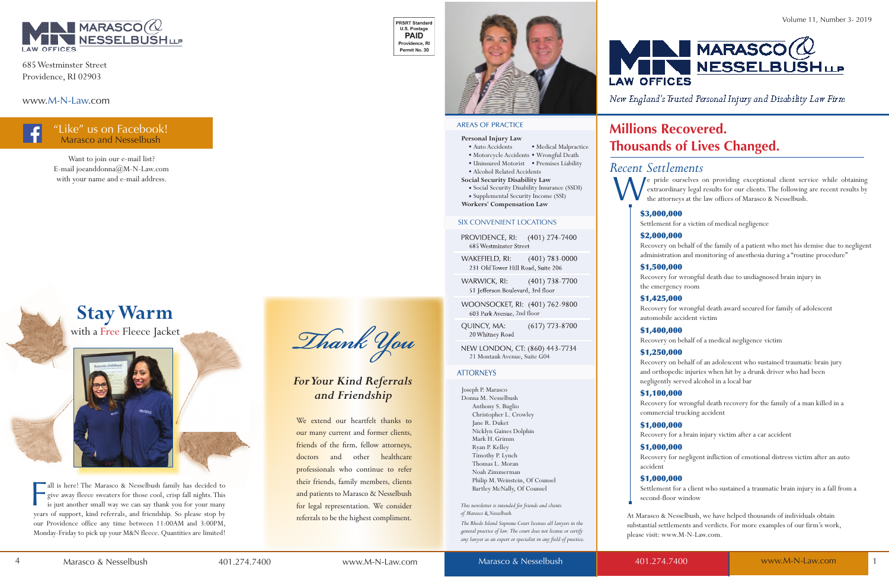#### **Personal Injury Law**

- Auto Accidents Medical Malpractice
- Motorcycle Accidents Wrongful Death • Uninsured Motorist • Premises Liability
- 
- Alcohol Related Accidents **Social Security Disability Law**
- Social Security Disability Insurance (SSDI) • Supplemental Security Income (SSI)
- **Workers' Compensation Law**

NEW LONDON, CT: (860) 443-7734 21 Montauk Avenue, Suite G04

#### **ATTORNEYS**

Joseph P. Marasco Donna M. Nesselbush Anthony S. Buglio Christopher L. Crowley Jane R. Duket Nicklyn Gaines Dolphin Mark H. Grimm Ryan P. Kelley Timothy P. Lynch Thomas L. Moran Noah Zimmerman Philip M. Weinstein, Of Counsel Bartley McNally, Of Counsel

*This newsletter is intended for friends and clients of Marasco & Nesselbush.* 

We extend our heartfelt thanks to our many current and former clients, friends of the firm, fellow attorneys, doctors and other healthcare professionals who continue to refer their friends, family members, clients and patients to Marasco & Nesselbush for legal representation. We consider referrals to be the highest compliment.

**PRSRT Standard** U.S. Postage **PAID** Providence, RI Permit No. 30





#### **AREAS OF PRACTICE**

Ī

*The Rhode Island Supreme Court licenses all lawyers in the general practice of law. The court does not license or certify any lawyer as an expert or specialist in any field of practice.*

#### SIX CONVENIENT LOCATIONS

PROVIDENCE, RI: (401) 274-7400 685 Westminster Street

WAKEFIELD, RI:  $(401)$  783-0000 231 Old Tower Hill Road, Suite 206

WARWICK, RI:  $(401)$  738-7700 51 Jefferson Boulevard, 3rd floor

WOONSOCKET, RI: (401) 762-9800 603 Park Avenue, 2nd floor

**OUINCY, MA:**  $(617)$  773-8700 20 Whitney Road

all is here! The Marasco & Nesselbush family has decided to give away fleece sweaters for those cool, crisp fall nights. This is just another small way we can say thank you for your many years of support, kind referrals, a all is here! The Marasco & Nesselbush family has decided to give away fleece sweaters for those cool, crisp fall nights. This is just another small way we can say thank you for your many our Providence office any time between 11:00AM and 3:00PM, Monday-Friday to pick up your M&N fleece. Quantities are limited!

Thank You



New England's Trusted Personal Injury and Disability Law Firm

### *For Your Kind Referrals and Friendship*

# **Stay Warm**

with a Free Fleece Jacket



# *Recent Settlements*

W e pride ourselves on providing exceptional client service while obtaining extraordinary legal results for our clients. The following are recent results by the attorneys at the law offices of Marasco & Nesselbush.

### "Like" us on Facebook! Marasco and Nesselbush



685 Westminster Street Providence, RI 02903

www.M-N-Law.com

Want to join our e-mail list? E-mail joeanddonna@M-N-Law.com with your name and e-mail address.

# **Millions Recovered. Thousands of Lives Changed.**

#### \$3,000,000

Settlement for a victim of medical negligence

#### \$2,000,000

Recovery on behalf of the family of a patient who met his demise due to negligent administration and monitoring of anesthesia during a "routine procedure"

#### \$1,500,000

Recovery for wrongful death due to undiagnosed brain injury in the emergency room

#### \$1,425,000

Recovery for wrongful death award secured for family of adolescent automobile accident victim

#### \$1,400,000

Recovery on behalf of a medical negligence victim

#### \$1,250,000

Recovery on behalf of an adolescent who sustained traumatic brain jury and orthopedic injuries when hit by a drunk driver who had been negligently served alcohol in a local bar

#### \$1,100,000

Recovery for wrongful death recovery for the family of a man killed in a commercial trucking accident

#### \$1,000,000

Recovery for a brain injury victim after a car accident

#### \$1,000,000

Recovery for negligent infliction of emotional distress victim after an auto accident

#### \$1,000,000

Settlement for a client who sustained a traumatic brain injury in a fall from a second-floor window

At Marasco & Nesselbush, we have helped thousands of individuals obtain substantial settlements and verdicts. For more examples of our firm's work, please visit: www.M-N-Law.com.